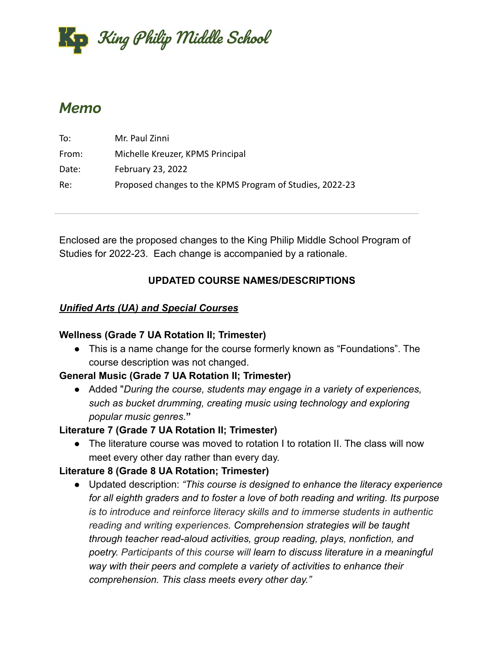

# *Memo*

| To:   | Mr. Paul Zinni                                           |
|-------|----------------------------------------------------------|
| From: | Michelle Kreuzer, KPMS Principal                         |
| Date: | February 23, 2022                                        |
| Re:   | Proposed changes to the KPMS Program of Studies, 2022-23 |

Enclosed are the proposed changes to the King Philip Middle School Program of Studies for 2022-23. Each change is accompanied by a rationale.

## **UPDATED COURSE NAMES/DESCRIPTIONS**

## *Unified Arts (UA) and Special Courses*

## **Wellness (Grade 7 UA Rotation II; Trimester)**

● This is a name change for the course formerly known as "Foundations". The course description was not changed.

# **General Music (Grade 7 UA Rotation II; Trimester)**

**●** Added "*During the course, students may engage in a variety of experiences, such as bucket drumming, creating music using technology and exploring popular music genres.***"**

# **Literature 7 (Grade 7 UA Rotation II; Trimester)**

● The literature course was moved to rotation I to rotation II. The class will now meet every other day rather than every day.

# **Literature 8 (Grade 8 UA Rotation; Trimester)**

● Updated description: *"This course is designed to enhance the literacy experience for all eighth graders and to foster a love of both reading and writing. Its purpose is to introduce and reinforce literacy skills and to immerse students in authentic reading and writing experiences. Comprehension strategies will be taught through teacher read-aloud activities, group reading, plays, nonfiction, and poetry. Participants of this course will learn to discuss literature in a meaningful way with their peers and complete a variety of activities to enhance their comprehension. This class meets every other day."*